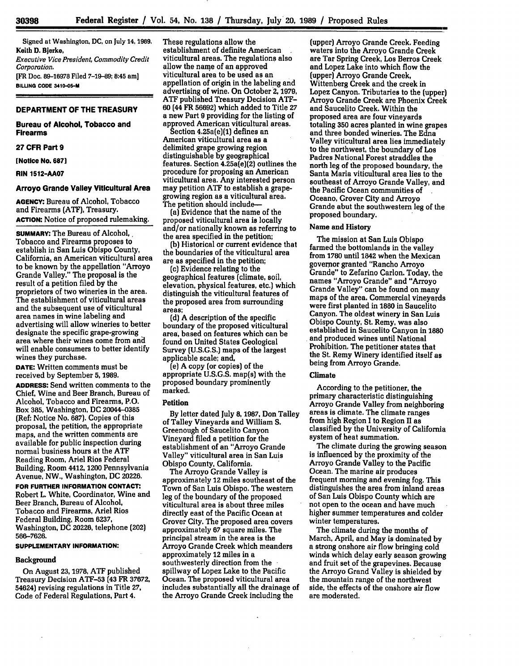Signed at Washington, **DC,** on July 14, 1989. Keith **D.** Bjerke,

*Executive Vice President, Commodity Credit Corporation.* [FR Doc. 89-16978 Filed **7-19-89;** 8:45 am]

**BILLING CODE 3410-05-M**

#### **DEPARTMENT OF THE TREASURY**

**Bureau of Alcohol, Tobacco and Firearms**

#### **27 CFR Part 9**

**[Notice No. 687]** 

**RIN 1512-AA07**

# **Arroyo Grande Valley Viticultural Area**

**AGENCY:** Bureau **of** Alcohol, **Tobacco** and Firearms **(ATF},** Treasury. **ACTION:** Notice **of proposed** rulemaking.

**SUMMARY: The Bureau of Alcohol,.** Tobacco and Firearms proposes to establish in San Luis Obispo County, California, an American viticultural area to be known by the appellation "Arroyo Grande Valley." The proposal is the result of a petition filed **by** the proprietors of two wineries in the area. The establishment of viticultural areas and the subsequent use of viticultural area names in wine labeling and advertising will allow wineries to better designate the specific grape-growing area where their wines come from and will enable consumers to better identify wines they purchase.

**DATE:** Written comments must be received **by** September **5,** 1989.

**ADDRESS:** Send written comments to the Chief, Wine and Beer Branch, Bureau of Alcohol, Tobacco and Firearms, P.O. Box **385,** Washington, **DC** 20044-0385 (Ref: Notice No. **687).** Copies of this proposal, the petition, the appropriate maps, and the written comments are available for public inspection during normal business hours at the ATF Reading Room, Ariel Rios Federal Building, Room 4412, 1200 Pennsylvania Avenue, NW., Washington, **DC** 20226.

**FOR FURTHER INFORMATION CONTACT:** Robert L. White, Coordinator, Wine and Beer Branch, Bureau of Alcohol, Tobacco and Firearms, Ariel Rios Federal Building, Room **6237,** Washington, **DC** 20226, telephone (202) **566-7626.**

#### **SUPPLEMENTARY INFORMATION:**

#### **Background**

On August 23, **1978, ATF** published Treasury Decision **ATF-53** (43 FR **37672,** 54624) revising regulations in Title **27,** Code of Federal Regulations, Part 4.

These regulations allow the establishment of definite American viticultural areas. The regulations also allow the name of an approved viticultural area to be used as an appellation of origin in the labeling and advertising of wine. On October 2, 1979, **ATF** published Treasury Decision **ATF-60** (44 FR **56692)** which added to Title **27** a new Part **9** providing for the listing of approved American viticultural areas.

Section 4.25a(e)(1) defines an American Viticultural area as a delimited grape growing region distinguishable **by** geographical features. Section 4.25a(e](2) outlines the procedure for proposing an American viticultural area. Any interested person may petition **ATF** to establish a grapegrowing region as a viticultural area. The petition should include-

(a) Evidence that the name of the proposed viticultural area is locally and/or nationally known as referring to the area specified in the petition;

**(b)** Historical or current evidence that the boundaries of the viticultural area are as specified in the petition;

(c) Evidence relating to the geographical features (climate, soil, elevation, physical features, etc.) which distinguish the viticultural features of the proposed area from surrounding areas;

**(d)** A description of the specific boundary of the proposed viticultural area, based on features which can be found on United States Geological Survey **(U.S.G.S.)** maps of the largest applicable scale; and,

(e) A copy (or copies) of the appropriate U.S.G.S. map(s) with the proposed boundary prominently marked.

# **Petition**

**By** letter dated July **8, 1987,** Don Talley of Talley Vineyards and William **S.** Greenough of Saucelito Canyon Vineyard filed a petition for the establishment of an "Arroyo Grande Valley" viticultural area in San Luis Obispo County, California.

The Arroyo Grande Valley is approximately 12 miles southeast of the Town of San Luis Obispo. The western leg of the boundary of the proposed viticultural area is about three miles directly east of the Pacific Ocean at Grover City. The proposed area covers approximately **67** square miles. The principal stream in the area is the Arroyo Grande Creek which meanders approximately 12 miles in a southwesterly direction from the spillway of Lopez Lake to the Pacific Ocean. The proposed viticultural area includes substantially all the drainage of the Arroyo Grande Creek including the

(upper) Arroyo Grande Creek. Feeding waters into the Arroyo Grande Creek are Tar Spring Creek, Los Berros Creek and Lopez Lake into which flow the (upper) Arroyo Grande Creek, Wittenberg Creek and the creek in Lopez Canyon. Tributaries to the (upper) Arroyo Grande Creek are Phoenix Creek and Saucelito Creek. Within the proposed area are four vineyards totaling **350** acres planted in wine grapes and three bonded wineries. The Edna Valley viticultural area lies immediately to the northwest, the boundary of Los Padres National Forest straddles the north leg of the proposed boundary, the Santa Maria viticultural area lies to the southeast of Arroyo Grande Valley, and the Pacific Ocean communities of Oceano, Grover City and Arroyo Grande abut the southwestern leg of the proposed boundary.

# **Name and History**

The mission at San Luis Obispo farmed the bottomlands in the valley from **1780** until 1842 when the Mexican governor granted "Rancho Arroyo Grande" to Zefarino Carlon. Today, the names "Arroyo Grande" and "Arroyo Grande Valley" can be found on many maps of the area. Commercial vineyards were first planted in 1880 in Saucelito Canyon. The oldest winery in San Luis Obispo County, St. Remy, was also established in Saucelito Canyon in **1880** and produced wines until National Prohibition. The petitioner states that the St. Remy Winery identified itself as being from Arroyo Grande.

# **Climate**

According to the petitioner, the primary characteristic distinguishing Arroyo Grande Valley from neighboring areas is climate. The climate ranges from high Region **I** to Region II as classified **by** the University of California system of heat summation.

The climate during the growing season is influenced **by** the proximity of the Arroyo Grande Valley to the Pacific Ocean. The marine air produces frequent morning and evening fog. This distinguishes the area from inland areas of San Luis Obispo County which are not open to the ocean and have much higher summer temperatures and colder winter temperatures.

The climate during the months of March, April, and May is dominated **by** a strong onshore air flow bringing cold winds which delay early season growing and fruit set of the grapevines. Because the Arroyo Grand Valley is shielded by the mountain range of the northwest side, the effects of the onshore air flow are moderated.

 $\sim$ 

**30398**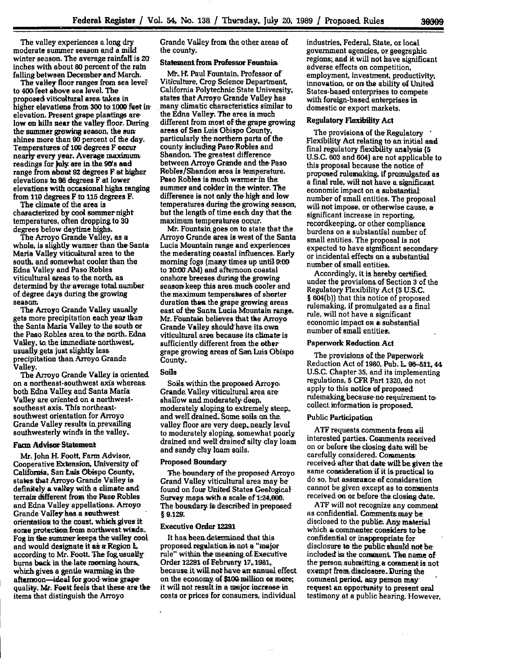The valley experiences a, long dry moderate summer season **and** a mild winter season. The average rainfall, is **20** inches with about **80** percent of the rain falling between Decemher and March.

The valley floor ranges from sea level to 400 feet above sea level. The proposed viticultural area. takes in higher elevations from **300** to. **1000** feet in elevation. Present grape plantings are. low on hills near the valley floor. During the summer growing season, the sun shines more than **90** percent of the day. Temperatures: of **100** degrees F occur nearly every year. Average maximum readings for July are in the 90's and range from about **92** degrees F at higher elevations **bn 98** degrees F at lower elevations with occasional highs. ranging from **110** degrees F to **115** degrees F.

The climate of the area is characterized by cool summer night temperatures, often dropping to **30** degrees below daytime highs.

The Arroyo Grande Valley, as a whole, is slightly warmer than the Santa Maria Valley viticultural area to the south, and somewhat cooler than the Edna Valley and Paso **Robles** viticultural areas to **the** north, as determind by the average total number of degree days during, the growing season;

The Arroyo Grande Valley usually gets more precipitation each year **than,** the Santa Maria Valley to, the south or the Paso Robles area to the north. Edna Valley, to the immediate northwest. usually gets just slightly lass. precipitation than Arroyo Grande Valley.

The Arroyo Grande Valley is oriented. on a northeast-southwest axis whereas both Edna Valley and' Santa Maria Valley are oriented on a northwestsoutheast axis. This northeastsouthwest orientation for Arroyo Grande Valley results in.prevailing southwesterly winds in the valley.

## Farm **Advisor** Statement

Mr. John H. Foott, Farm Advisor, Cooperative Extension, University of California, San Luis Obispo County, states that Arroyo, Grande Valley **is** definiely a. valley with a climate and terrain different from the Paso Robles and Edna Valley appellations. Arroyo Grande Valley'has, a southwest orientation to the coast, which gives it some protection from northwest winds. **Fog** *in* the summer keeps the valley coot and would designate it as a Region L. according to Mr. Foott. The fog usually burns back in the late morning hours, which gives a gentle warming in the afternoon-ideal for good wine grape quality. Mr. Foott feels that these are. the items that distinguish the Arroyo

Grande Valley from the other areas of the county.

### Statement from Professor Fountain,

Mr. H. Paul Fountain, Professor of Viticulture, Crop Science Department, California Polytechnic State University, states that Arroyo Grande Valley has many climatic characteristics similar to the Edna Valley. The area is much different from most of the grape growing areas of San Luis Obispo County, particularly the northern parts of the' county including Paso Robles and Shandon. The greatest difference between Arroyo Grande and the Paso Robles/Shandon area is temperature. Paso Robles is, much warmer in the summer and colder in the winter. The difference is not only the high and low temperatures during the growing season, but the length of time each day that the maximum temperatures occur.

Mr. Fountain goes on to state that the Arroyo Grande area is west of the Santa Lucia Mountain range and experiences the moderating coastal influences. Early morning fogs (many times up until 9:00 to 10:00 AM) and afternoon coastal onshore breezes during the growing season keep this area. much cooler and the maximum temperatures of shorter duration than the grape **growing** areas east of the Santa Lucia Mountain range. Mr. Fountain believes that the Arroyo Grande Valley should' have its, own viticultural area because its climate is sufficiently different from the other grape growing areas of San Luis Obispo County.,

#### Soils

Soils, within the. proposed. Arroyo, Grande Valley viticultural, area are shallow and moderately, deep, moderately sloping to extremely steep, and well drained. Some soils on the. valley floor are very deep, nearly level to moderately sloping, somewhat poorly drained and well drained silty clay loam and sandy clay loam soils.

#### Proposed Boundary-

The boundary of the proposed Arroyo Grand Valley viticultural area may be found on four United States Geological Survey maps with a scale of 1:24,000. The boundary. is described in; proposed **§** 9.129.

#### Executive Order **129**

It has been determined that this. proposed regulation.is! not a "major rule" within the meaning, **of** Executive Order 12291 of February 17, 1981, because. it will, not have: an annual, effect on the economy of \$a00,, million **at** more; it will not result in a major increase in costs or prices for consumers, individual

industries, Federal, State, or local government agencies, or geographic regions;, and it will not have significant adverse effects on competition, employment, investment, productivity, innovation, or **on.** the ability **of** United States-based enterprises to compete with foreign-based enterprises in domestic or export markets.

## Regulatory Flexibility Act

The provisions of the Regulatory Flexibility Act relating to an initial and final regulatory flexibility **analysis (5 U.S.C. 603** and 604) are not applicable to this proposal because the notice of proposed rulemaking, if promulgated as a final rule, wilt not have **a** significamt economic impact on a substantial number of small entities. The proposal will not impose, or otherwise cause, **a** significant increase in reporting, recordkeeping, or other compliance burdens on a substantial number of small entities. The proposal is not expected to have significant secondary, or incidental effects on a substantial number of small entities.

Accordingly, it is hereby certified under the provisions of Section **3** of the Regulatory Flexibility Act (5 U.S.C. § **604(b))** that this notice of proposed rulemaking, if promulgated as a final rule, will not have a significant economic impact on a substantial number of small entities.

## **Paperwork Reduction Act**

The provisions of the Paperwork Reduction Act of 1980, Pub. L **96-51. 44** U.S.C. Chapter **35,** and its implementing regulations, **5** CFR Part **1320,** do not apply to this notice of proposed rulemaking because no requirement to, collect information is proposed.

## Public Participation

**ATF** requests comments from all interested parties. Comments Received on or before the closing date will be carefully considered. Comments received after that date wilt be given the same comsideration if it is practical **to** do so, but assurance of consideration cannot be given except as to comments received on or before the. closing date.

**ATF** will not recognize any comment as confidential. Comments may be disclosed to the public, Any material which a commenter considers **to** be confidential or inappropriate for disclosure to the public **should** not be included in the comment. The name of the person submitting, a comment is not exempt from disclosure. During the comment period, any person may request an opportunity to present oral testimony at a public hearing. However,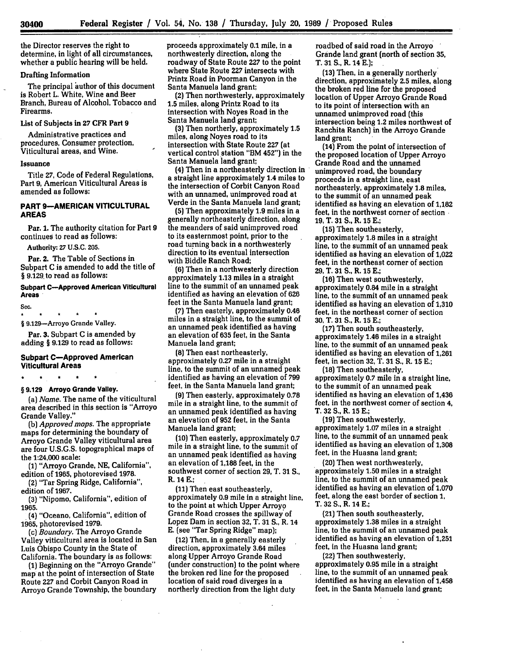the Director reserves the right to determine, in light **of** all circumstances, whether a public hearing will be held.

# Drafting Information

The principal author of this document is Robert L. White, Wine and Beer Branch, Bureau of Alcohol, Tobacco and Firearms.

# List of Subjects in **27** CFR Part **9**

Administrative practices and procedures, Consumer protection, Viticultural areas, and Wine.

#### Issuance

Title **27,** Code of Federal Regulations, Part **9,** American Viticultural Areas is amended as follows:

# **PART 9-AMERICAN VITICULTURAL AREAS**

Par. **1.** The authority citation for Part **9** continues to read as follows:

Authority: **27 U.S.C. 205.**

Par. 2. The Table of Sections in Subpart C is amended to add the title of § 9.129 to read as follows:

## **Subpart C-Approved American Viticultural Areas**

Sec.  $\star$ 

§ 9.129-Arroyo Grande Valley.

Par. **3.** Subpart **C** is amended **by** adding § **9.129** to read as follows:

## **Subpart C-Approved American Viticultural Areas**

## **§ 9.129 Arroyo Grande Valley.**

(a) *Name.* The name of the viticultural area described in this section is "Arroyo Grande Valley."

**(b)** *Approved maps.* The appropriate maps for determining the boundary of Arroyo Grande Valley viticultural area are four **U.S.G.S.** topographical maps of the 1:24,000 scale:

(1) "Arroyo Grande, **NE,** California", edition of **1965,** photorevised **1978.**

(2) "Tar Spring Ridge, California", edition of 1967.

**(3)** "Nipomo, California", edition of **1965.**

(4) "Oceano, California", edition of **1965,** photorevised 1979.

*(c) Boundary.* The Arroyo Grande Valley viticultural area is located in San Luis Obispo County in the State of California. The boundary is as follows:

**(1)** Beginning on the "Arroyo Grande" map at the point of intersection of State Route **227** and Corbit Canyon Road in Arroyo Grande Township, the boundary proceeds approximately **0.1** mile, in a northwesterly direction, along the roadway of State Route **227** to the point where State Route **227** intersects with Printz Road in Poorman Canyon in the Santa Manuela land grant;

(2) Then northwesterly, approximately **1.5** miles, along Printz Road to its intersection with Noyes Road in the Santa Manuela land grant;

**(3)** Then northerly, approximately **1.5** miles, along Noyes road to its intersection with State Route **227** (at vertical control station "BM 452") in the Santa Manuela land grant;

(4) Then in a northeasterly direction in a straight line approximately 1.4 miles to the intersection of Corbit Canyon Road with an unnamed, unimproved road at Verde in the Santa Manuela land grant;

**(5)** Then approximately **1.9** miles in a generally northeasterly direction, along the meanders of said unimproved road to its easternmost point, prior to the road turning back in a northwesterly direction to its eventual intersection with Biddle Ranch Road;

**(6)** Then in a northwesterly direction approximately **1.13** miles in a straight line to the summit of an unnamed peak identified as having an elevation of **626** feet in the Santa Manuela land grant;

**(7)** Then easterly, approximately 0.46 miles in a straight line, to the summit of an unnamed peak identified as having an elevation of **635** feet, in the Santa Manuela land grant;

**(8)** Then east northeasterly, approximately **0.27** mile in a straight line, to the summit of an unnamed peak identified as having an elevation of **799** feet, in the Santa Manuela land grant;

**(9)** Then easterly, approximately **0.78** mile in a straight line, to the summit of an unnamed peak identified as having an elevation of **952** feet, in the Santa Manuela land grant;

**(10)** Then easterly, approximately **0.7** mile in a straight line, to the summit of an unnamed peak identified as having an elevation of **1,188** feet, in the southwest corner of section 29, T. **31 S.,** R. 14 **E.;**

**(11)** Then east southeasterly, approximately **0.9** mile in a straight line, to the point at which Upper Arroyo Grande Road crosses the spillway of Lopez Dam in section **32,** T. **31 S.,** R. 14 **E.** (see "Tar Spring Ridge" map);

(12) Then, in a generally easterly direction, approximately 3.64 miles along Upper Arroyo Grande Road (under construction) to the point where the broken red line for the proposed location of said road diverges in a northerly direction from the light duty

roadbed of said road in the Arroyo Grande land grant (north of section **35,** T. **31 S.,** R. 14 **E.);**

**(13)** Then, in a generally northerly direction, approximately **2.5** miles, along the broken red line for the proposed location of Upper Arroyo Grande Road to its point of intersection with an unnamed unimproved road (this intersection being 1.2 miles northwest of Ranchita Ranch) in the Arroyo Grande land grant;

(14) From the point of intersection of the proposed location of Upper Arroyo Grande Road and the unnamed unimproved road, the boundary proceeds in a straight line, east northeasterly, approximately **1.8** miles, to the summit of an unnamed peak identified as having an elevation of **1,182** feet, in the northwest comer of section **19,** T. **31 S.,** R. **15 E.;**

**(15)** Then southeasterly, approximately **1.8** miles in a straight line, to the summit of an unnamed peak identified as having an elevation of 1,022 feet, in the northeast comer of section **29,** T. **31 S.,** R. **15 E.;**

(16) Then west southwesterly, approximately 0.84 mile in a straight line, to the summit of an unnamed peak identified as having an elevation of **1,310** feet, in the northeast comer of section **30,** T. **31 S.,** R. 15 **E.;**

(17) Then south southeasterly, approximately 1.46 miles in a straight line, to the summit of an unnamed peak identified as having an elevation of **1,261** feet, in section **32,** T. **31 S.,** R. **15 E.;**

**(18)** Then southeasterly, approximately **0.7** mile in a straight line, to the summit of an unnamed peak identified as having an elevation of 1,436 feet, in the northwest comer of section 4, T. **32 S.,** R. 15 **E.;**

**(19)** Then southwesterly, approximately **1.07** miles in a straight line, to the summit of an unnamed peak identified as having an elevation of **1,308** feet, in the Huasna land grant;

(20) Then west northwesterly, approximately **1.50** miles in a straight line, to the summit of an unnamed peak identified as having an elevation of **1,070** feet, along the east border of section **1,** T. 32 **S.,** R. 14 **E.;**

(21) Then south southeasterly, approximately 1.38 miles in a straight line, to the summit of an unnamed peak identified as having an elevation of 1,251 feet, in the Huasna land grant;

(22) Then southwesterly, approximately 0.95 mile in a straight line, to the summit of an unnamed peak identified as having an elevation of 1,458 feet, in the Santa Manuela land grant;